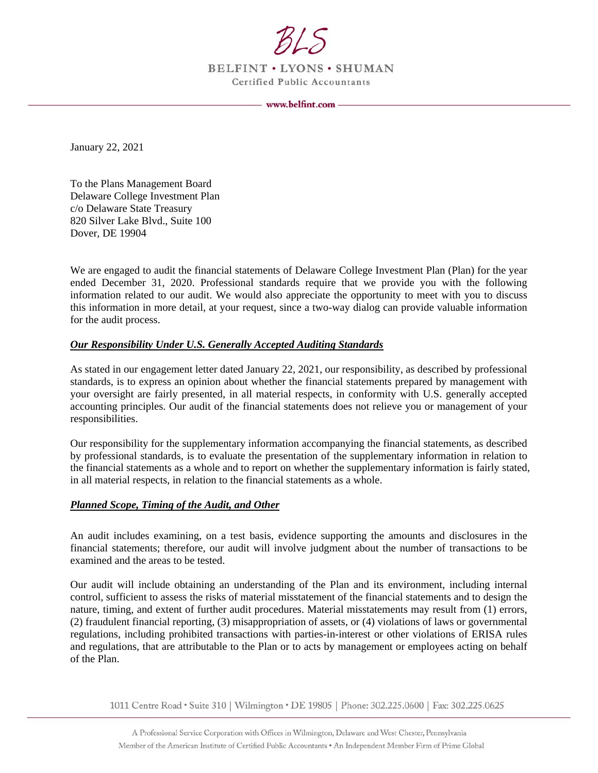

BELFINT . LYONS . SHUMAN **Certified Public Accountants** 

www.belfint.com -

January 22, 2021

To the Plans Management Board Delaware College Investment Plan c/o Delaware State Treasury 820 Silver Lake Blvd., Suite 100 Dover, DE 19904

We are engaged to audit the financial statements of Delaware College Investment Plan (Plan) for the year ended December 31, 2020. Professional standards require that we provide you with the following information related to our audit. We would also appreciate the opportunity to meet with you to discuss this information in more detail, at your request, since a two-way dialog can provide valuable information for the audit process.

## *Our Responsibility Under U.S. Generally Accepted Auditing Standards*

As stated in our engagement letter dated January 22, 2021, our responsibility, as described by professional standards, is to express an opinion about whether the financial statements prepared by management with your oversight are fairly presented, in all material respects, in conformity with U.S. generally accepted accounting principles. Our audit of the financial statements does not relieve you or management of your responsibilities.

Our responsibility for the supplementary information accompanying the financial statements, as described by professional standards, is to evaluate the presentation of the supplementary information in relation to the financial statements as a whole and to report on whether the supplementary information is fairly stated, in all material respects, in relation to the financial statements as a whole.

## *Planned Scope, Timing of the Audit, and Other*

An audit includes examining, on a test basis, evidence supporting the amounts and disclosures in the financial statements; therefore, our audit will involve judgment about the number of transactions to be examined and the areas to be tested.

Our audit will include obtaining an understanding of the Plan and its environment, including internal control, sufficient to assess the risks of material misstatement of the financial statements and to design the nature, timing, and extent of further audit procedures. Material misstatements may result from (1) errors, (2) fraudulent financial reporting, (3) misappropriation of assets, or (4) violations of laws or governmental regulations, including prohibited transactions with parties-in-interest or other violations of ERISA rules and regulations, that are attributable to the Plan or to acts by management or employees acting on behalf of the Plan.

1011 Centre Road · Suite 310 | Wilmington · DE 19805 | Phone: 302.225.0600 | Fax: 302.225.0625